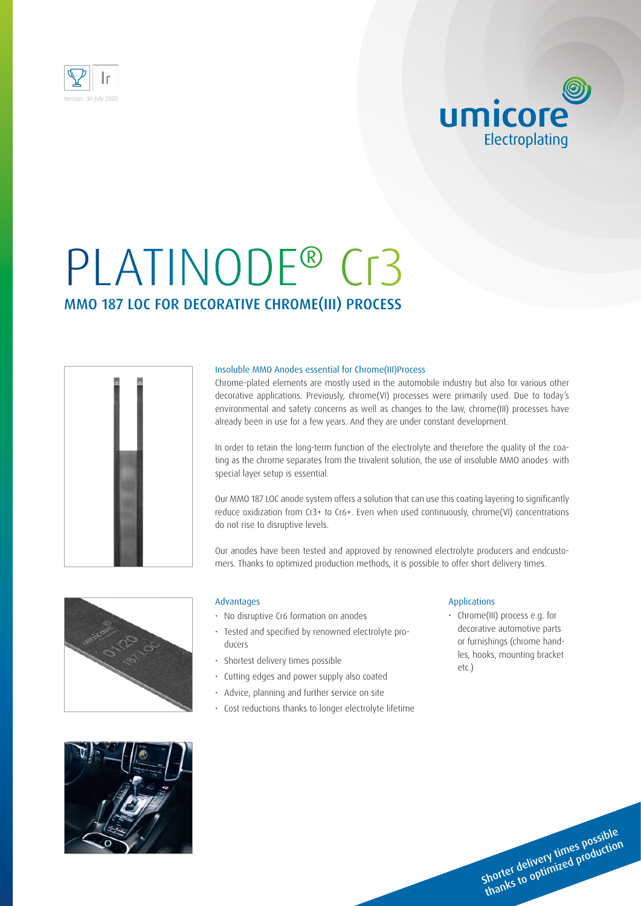

## umicore Electroplating

# PLATINODE® Cr3 MMO 187 LOC FOR DECORATIVE CHROME(III) PROCESS



#### Insoluble MMO Anodes essential for Chrome(III)Process

Chrome-plated elements are mostly used in the automobile industry but also for various other decorative applications. Previously, chrome(VI) processes were primarily used. Due to today's environmental and safety concerns as well as changes to the law, chrome(III) processes have already been in use for a few years. And they are under constant development.

In order to retain the long-term function of the electrolyte and therefore the quality of the coating as the chrome separates from the trivalent solution, the use of insoluble MMO anodes with special layer setup is essential.

Our MMO 187 LOC anode system offers a solution that can use this coating layering to significantly reduce oxidization from Cr3+ to Cr6+. Even when used continuously, chrome(VI) concentrations do not rise to disruptive levels.

Our anodes have been tested and approved by renowned electrolyte producers and endcustomers. Thanks to optimized production methods, it is possible to offer short delivery times.



#### Advantages

- No disruptive Cr6 formation on anodes
- Tested and specified by renowned electrolyte producers
- Shortest delivery times possible
- Cutting edges and power supply also coated
- Advice, planning and further service on site
- Cost reductions thanks to longer electrolyte lifetime

#### Applications

• Chrome(III) process e.g. for decorative automotive parts or furnishings (chrome handles, hooks, mounting bracket etc.)

> Shorter delivery times possible<br>Shorter delivery times production shorter delivery times poduction